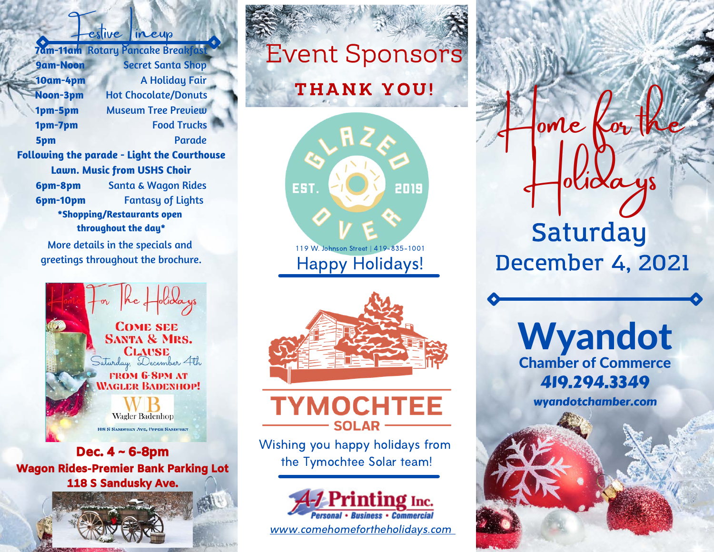festive ineup **7am-11am** Rotary Pancake Breakfast **9am-Noon** Secret Santa Shop **10am-4pm** A Holiday Fair **Noon-3pm** Hot Chocolate/Donuts **1pm-5pm** Museum Tree Preview **1pm-7pm** Food Trucks **5pm** Parade **Following the parade - Light the Courthouse Lawn. Music from USHS Choir 6pm-8pm** Santa & Wagon Rides **6pm-10pm** Fantasy of Lights **\*Shopping/Restaurants open throughout the day\***

More details in the specials and greetings throughout the brochure.



Dec. 4 ~ 6-8pm Wagon Rides-Premier Bank Parking Lot 118 S Sandusky Ave.

# Event Sponsors

## **THANK YOU!**



119 W. Johnson Street | 419-835-1001 Happy Holidays!



**TYMOCHTEE SOLAR** 

Wishing you happy holidays from the Tymochtee Solar team!



www.comehomefortheholidays.com

Saturday December 4, 2021

olicla

 $one$   $k$ 

419.294.3349 Wyandot Chamber of Commerce

wyandotchamber.com